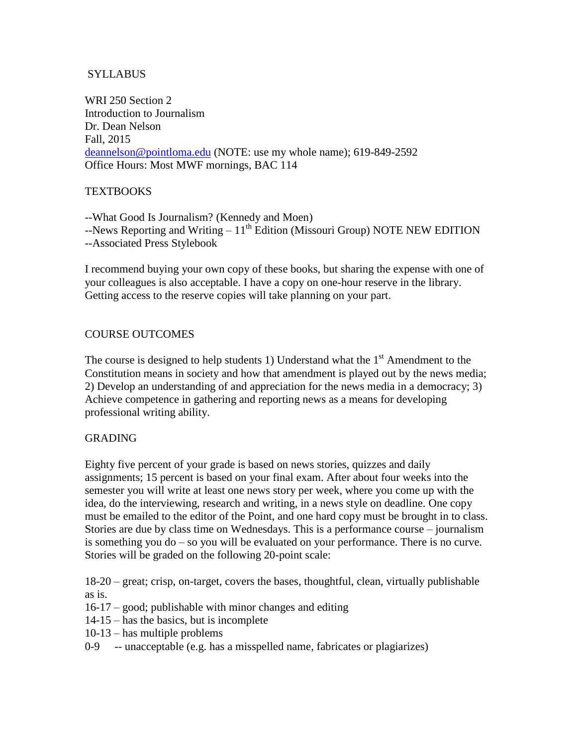# SYLLABUS

WRI 250 Section 2 Introduction to Journalism Dr. Dean Nelson Fall, 2015 [deannelson@pointloma.edu](mailto:deannelson@pointloma.edu) (NOTE: use my whole name); 619-849-2592 Office Hours: Most MWF mornings, BAC 114

## **TEXTBOOKS**

--What Good Is Journalism? (Kennedy and Moen)  $-$ -News Reporting and Writing  $-11<sup>th</sup>$  Edition (Missouri Group) NOTE NEW EDITION --Associated Press Stylebook

I recommend buying your own copy of these books, but sharing the expense with one of your colleagues is also acceptable. I have a copy on one-hour reserve in the library. Getting access to the reserve copies will take planning on your part.

## COURSE OUTCOMES

The course is designed to help students 1) Understand what the  $1<sup>st</sup>$  Amendment to the Constitution means in society and how that amendment is played out by the news media; 2) Develop an understanding of and appreciation for the news media in a democracy; 3) Achieve competence in gathering and reporting news as a means for developing professional writing ability.

## GRADING

Eighty five percent of your grade is based on news stories, quizzes and daily assignments; 15 percent is based on your final exam. After about four weeks into the semester you will write at least one news story per week, where you come up with the idea, do the interviewing, research and writing, in a news style on deadline. One copy must be emailed to the editor of the Point, and one hard copy must be brought in to class. Stories are due by class time on Wednesdays. This is a performance course – journalism is something you do – so you will be evaluated on your performance. There is no curve. Stories will be graded on the following 20-point scale:

18-20 – great; crisp, on-target, covers the bases, thoughtful, clean, virtually publishable as is.

- 16-17 good; publishable with minor changes and editing
- 14-15 has the basics, but is incomplete
- 10-13 has multiple problems
- 0-9 -- unacceptable (e.g. has a misspelled name, fabricates or plagiarizes)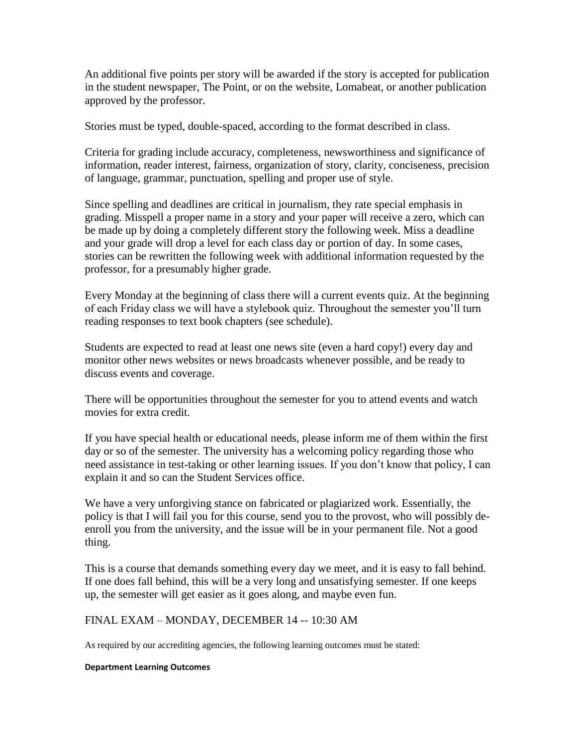An additional five points per story will be awarded if the story is accepted for publication in the student newspaper, The Point, or on the website, Lomabeat, or another publication approved by the professor.

Stories must be typed, double-spaced, according to the format described in class.

Criteria for grading include accuracy, completeness, newsworthiness and significance of information, reader interest, fairness, organization of story, clarity, conciseness, precision of language, grammar, punctuation, spelling and proper use of style.

Since spelling and deadlines are critical in journalism, they rate special emphasis in grading. Misspell a proper name in a story and your paper will receive a zero, which can be made up by doing a completely different story the following week. Miss a deadline and your grade will drop a level for each class day or portion of day. In some cases, stories can be rewritten the following week with additional information requested by the professor, for a presumably higher grade.

Every Monday at the beginning of class there will a current events quiz. At the beginning of each Friday class we will have a stylebook quiz. Throughout the semester you'll turn reading responses to text book chapters (see schedule).

Students are expected to read at least one news site (even a hard copy!) every day and monitor other news websites or news broadcasts whenever possible, and be ready to discuss events and coverage.

There will be opportunities throughout the semester for you to attend events and watch movies for extra credit.

If you have special health or educational needs, please inform me of them within the first day or so of the semester. The university has a welcoming policy regarding those who need assistance in test-taking or other learning issues. If you don't know that policy, I can explain it and so can the Student Services office.

We have a very unforgiving stance on fabricated or plagiarized work. Essentially, the policy is that I will fail you for this course, send you to the provost, who will possibly deenroll you from the university, and the issue will be in your permanent file. Not a good thing.

This is a course that demands something every day we meet, and it is easy to fall behind. If one does fall behind, this will be a very long and unsatisfying semester. If one keeps up, the semester will get easier as it goes along, and maybe even fun.

## FINAL EXAM – MONDAY, DECEMBER 14 -- 10:30 AM

As required by our accrediting agencies, the following learning outcomes must be stated:

#### **Department Learning Outcomes**